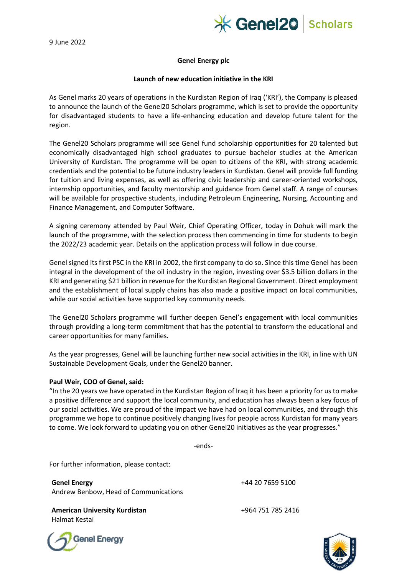9 June 2022



## **Genel Energy plc**

## **Launch of new education initiative in the KRI**

As Genel marks 20 years of operations in the Kurdistan Region of Iraq ('KRI'), the Company is pleased to announce the launch of the Genel20 Scholars programme, which is set to provide the opportunity for disadvantaged students to have a life-enhancing education and develop future talent for the region.

The Genel20 Scholars programme will see Genel fund scholarship opportunities for 20 talented but economically disadvantaged high school graduates to pursue bachelor studies at the American University of Kurdistan. The programme will be open to citizens of the KRI, with strong academic credentials and the potential to be future industry leaders in Kurdistan. Genel will provide full funding for tuition and living expenses, as well as offering civic leadership and career-oriented workshops, internship opportunities, and faculty mentorship and guidance from Genel staff. A range of courses will be available for prospective students, including Petroleum Engineering, Nursing, Accounting and Finance Management, and Computer Software.

A signing ceremony attended by Paul Weir, Chief Operating Officer, today in Dohuk will mark the launch of the programme, with the selection process then commencing in time for students to begin the 2022/23 academic year. Details on the application process will follow in due course.

Genel signed its first PSC in the KRI in 2002, the first company to do so. Since this time Genel has been integral in the development of the oil industry in the region, investing over \$3.5 billion dollars in the KRI and generating \$21 billion in revenue for the Kurdistan Regional Government. Direct employment and the establishment of local supply chains has also made a positive impact on local communities, while our social activities have supported key community needs.

The Genel20 Scholars programme will further deepen Genel's engagement with local communities through providing a long-term commitment that has the potential to transform the educational and career opportunities for many families.

As the year progresses, Genel will be launching further new social activities in the KRI, in line with UN Sustainable Development Goals, under the Genel20 banner.

## **Paul Weir, COO of Genel, said:**

"In the 20 years we have operated in the Kurdistan Region of Iraq it has been a priority for us to make a positive difference and support the local community, and education has always been a key focus of our social activities. We are proud of the impact we have had on local communities, and through this programme we hope to continue positively changing lives for people across Kurdistan for many years to come. We look forward to updating you on other Genel20 initiatives as the year progresses."

-ends-

For further information, please contact:

**Genel Energy** Andrew Benbow, Head of Communications

**American University Kurdistan 1964 751 785 2416** Halmat Kestai

+44 20 7659 5100